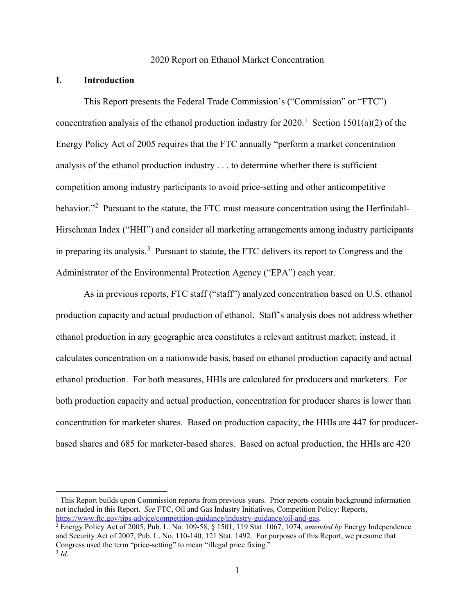# 2020 Report on Ethanol Market Concentration

#### **I. Introduction**

 $\overline{a}$ 

This Report presents the Federal Trade Commission's ("Commission" or "FTC") concentration analysis of the ethanol production industry for  $2020$ .<sup>1</sup> Section 1501(a)(2) of the Energy Policy Act of 2005 requires that the FTC annually "perform a market concentration analysis of the ethanol production industry . . . to determine whether there is sufficient competition among industry participants to avoid price-setting and other anticompetitive behavior."<sup>2</sup> Pursuant to the statute, the FTC must measure concentration using the Herfindahl-Hirschman Index ("HHI") and consider all marketing arrangements among industry participants in preparing its analysis.<sup>3</sup> Pursuant to statute, the FTC delivers its report to Congress and the Administrator of the Environmental Protection Agency ("EPA") each year.

As in previous reports, FTC staff ("staff") analyzed concentration based on U.S. ethanol production capacity and actual production of ethanol. Staff's analysis does not address whether ethanol production in any geographic area constitutes a relevant antitrust market; instead, it calculates concentration on a nationwide basis, based on ethanol production capacity and actual ethanol production. For both measures, HHIs are calculated for producers and marketers. For both production capacity and actual production, concentration for producer shares is lower than concentration for marketer shares. Based on production capacity, the HHIs are 447 for producerbased shares and 685 for marketer-based shares. Based on actual production, the HHIs are 420

 $<sup>1</sup>$  This Report builds upon Commission reports from previous years. Prior reports contain background information</sup> not included in this Report. *See* FTC, Oil and Gas Industry Initiatives, Competition Policy: Reports, https://www.ftc.gov/tips-advice/competition-guidance/industry-guidance/oil-and-gas. 2 Energy Policy Act of 2005, Pub. L. No. 109-58, § 1501, 119 Stat. 1067, 1074, *amended by* Energy Independence

and Security Act of 2007, Pub. L. No. 110-140, 121 Stat. 1492. For purposes of this Report, we presume that Congress used the term "price-setting" to mean "illegal price fixing."  $3$  *Id.*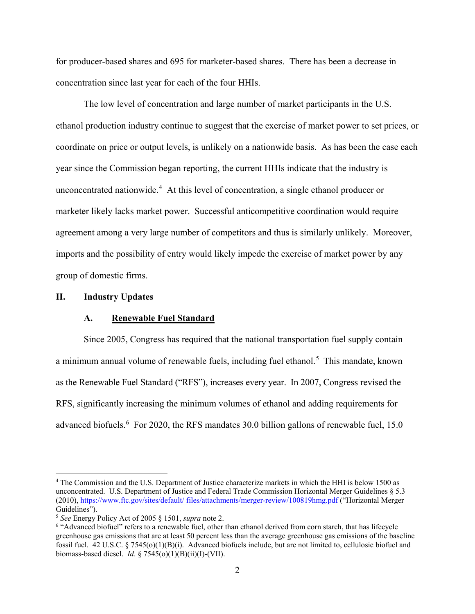for producer-based shares and 695 for marketer-based shares. There has been a decrease in concentration since last year for each of the four HHIs.

The low level of concentration and large number of market participants in the U.S. ethanol production industry continue to suggest that the exercise of market power to set prices, or coordinate on price or output levels, is unlikely on a nationwide basis. As has been the case each year since the Commission began reporting, the current HHIs indicate that the industry is unconcentrated nationwide.<sup>4</sup> At this level of concentration, a single ethanol producer or marketer likely lacks market power. Successful anticompetitive coordination would require agreement among a very large number of competitors and thus is similarly unlikely. Moreover, imports and the possibility of entry would likely impede the exercise of market power by any group of domestic firms.

# **II. Industry Updates**

 $\overline{a}$ 

## **A. Renewable Fuel Standard**

Since 2005, Congress has required that the national transportation fuel supply contain a minimum annual volume of renewable fuels, including fuel ethanol.<sup>5</sup> This mandate, known as the Renewable Fuel Standard ("RFS"), increases every year. In 2007, Congress revised the RFS, significantly increasing the minimum volumes of ethanol and adding requirements for advanced biofuels.<sup>6</sup> For 2020, the RFS mandates 30.0 billion gallons of renewable fuel, 15.0

<sup>4</sup> The Commission and the U.S. Department of Justice characterize markets in which the HHI is below 1500 as unconcentrated. U.S. Department of Justice and Federal Trade Commission Horizontal Merger Guidelines § 5.3 (2010), https://www.ftc.gov/sites/default/ files/attachments/merger-review/100819hmg.pdf ("Horizontal Merger Guidelines").

<sup>5</sup> *See* Energy Policy Act of 2005 § 1501, *supra* note 2.

<sup>6</sup> "Advanced biofuel" refers to a renewable fuel, other than ethanol derived from corn starch, that has lifecycle greenhouse gas emissions that are at least 50 percent less than the average greenhouse gas emissions of the baseline fossil fuel. 42 U.S.C. § 7545(o)(1)(B)(i). Advanced biofuels include, but are not limited to, cellulosic biofuel and biomass-based diesel. *Id*. § 7545(o)(1)(B)(ii)(I)-(VII).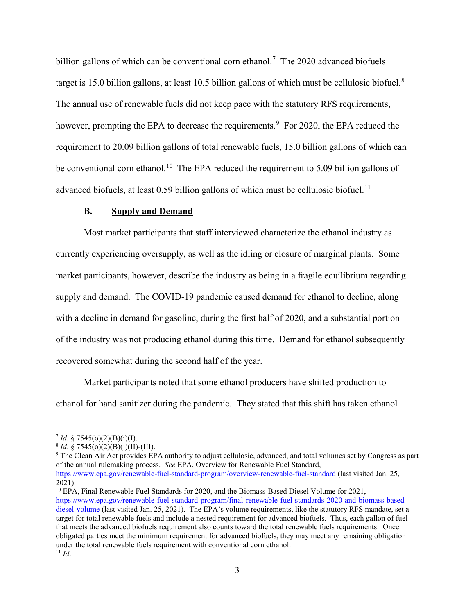billion gallons of which can be conventional corn ethanol.<sup>7</sup> The 2020 advanced biofuels target is 15.0 billion gallons, at least 10.5 billion gallons of which must be cellulosic biofuel.<sup>8</sup> The annual use of renewable fuels did not keep pace with the statutory RFS requirements, however, prompting the EPA to decrease the requirements.<sup>9</sup> For 2020, the EPA reduced the requirement to 20.09 billion gallons of total renewable fuels, 15.0 billion gallons of which can be conventional corn ethanol.<sup>10</sup> The EPA reduced the requirement to 5.09 billion gallons of advanced biofuels, at least 0.59 billion gallons of which must be cellulosic biofuel.<sup>11</sup>

# **B. Supply and Demand**

Most market participants that staff interviewed characterize the ethanol industry as currently experiencing oversupply, as well as the idling or closure of marginal plants. Some market participants, however, describe the industry as being in a fragile equilibrium regarding supply and demand. The COVID-19 pandemic caused demand for ethanol to decline, along with a decline in demand for gasoline, during the first half of 2020, and a substantial portion of the industry was not producing ethanol during this time. Demand for ethanol subsequently recovered somewhat during the second half of the year.

Market participants noted that some ethanol producers have shifted production to ethanol for hand sanitizer during the pandemic. They stated that this shift has taken ethanol

 $\overline{a}$ 

<sup>10</sup> EPA, Final Renewable Fuel Standards for 2020, and the Biomass-Based Diesel Volume for 2021, https://www.epa.gov/renewable-fuel-standard-program/final-renewable-fuel-standards-2020-and-biomass-baseddiesel-volume (last visited Jan. 25, 2021). The EPA's volume requirements, like the statutory RFS mandate, set a target for total renewable fuels and include a nested requirement for advanced biofuels. Thus, each gallon of fuel that meets the advanced biofuels requirement also counts toward the total renewable fuels requirements. Once obligated parties meet the minimum requirement for advanced biofuels, they may meet any remaining obligation under the total renewable fuels requirement with conventional corn ethanol. <sup>11</sup> *Id*.

<sup>7</sup> *Id*. § 7545(o)(2)(B)(i)(I). 8 *Id*. § 7545(o)(2)(B)(i)(II)-(III).

<sup>&</sup>lt;sup>9</sup> The Clean Air Act provides EPA authority to adjust cellulosic, advanced, and total volumes set by Congress as part of the annual rulemaking process. *See* EPA, Overview for Renewable Fuel Standard, https://www.epa.gov/renewable-fuel-standard-program/overview-renewable-fuel-standard (last visited Jan. 25,

<sup>2021).</sup>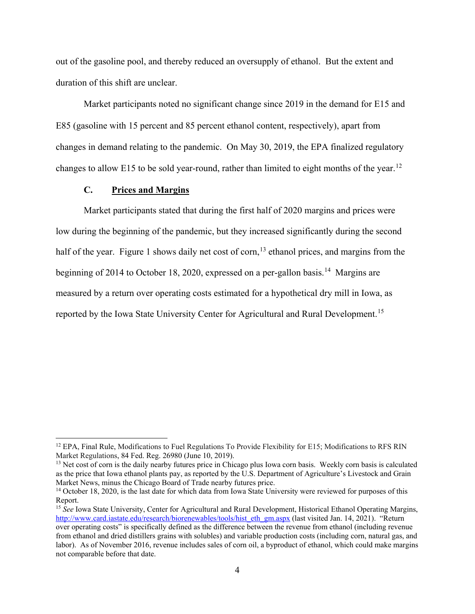out of the gasoline pool, and thereby reduced an oversupply of ethanol. But the extent and duration of this shift are unclear.

Market participants noted no significant change since 2019 in the demand for E15 and E85 (gasoline with 15 percent and 85 percent ethanol content, respectively), apart from changes in demand relating to the pandemic. On May 30, 2019, the EPA finalized regulatory changes to allow E15 to be sold year-round, rather than limited to eight months of the year.<sup>12</sup>

# **C. Prices and Margins**

 $\overline{a}$ 

Market participants stated that during the first half of 2020 margins and prices were low during the beginning of the pandemic, but they increased significantly during the second half of the year. Figure 1 shows daily net cost of corn,  $13$  ethanol prices, and margins from the beginning of 2014 to October 18, 2020, expressed on a per-gallon basis.<sup>14</sup> Margins are measured by a return over operating costs estimated for a hypothetical dry mill in Iowa, as reported by the Iowa State University Center for Agricultural and Rural Development.<sup>15</sup>

<sup>&</sup>lt;sup>12</sup> EPA, Final Rule, Modifications to Fuel Regulations To Provide Flexibility for E15; Modifications to RFS RIN Market Regulations, 84 Fed. Reg. 26980 (June 10, 2019).

<sup>&</sup>lt;sup>13</sup> Net cost of corn is the daily nearby futures price in Chicago plus Iowa corn basis. Weekly corn basis is calculated as the price that Iowa ethanol plants pay, as reported by the U.S. Department of Agriculture's Livestock and Grain Market News, minus the Chicago Board of Trade nearby futures price.

<sup>&</sup>lt;sup>14</sup> October 18, 2020, is the last date for which data from Iowa State University were reviewed for purposes of this Report.

<sup>&</sup>lt;sup>15</sup> See Iowa State University, Center for Agricultural and Rural Development, Historical Ethanol Operating Margins, http://www.card.iastate.edu/research/biorenewables/tools/hist\_eth\_gm.aspx (last visited Jan. 14, 2021). "Return over operating costs" is specifically defined as the difference between the revenue from ethanol (including revenue from ethanol and dried distillers grains with solubles) and variable production costs (including corn, natural gas, and labor). As of November 2016, revenue includes sales of corn oil, a byproduct of ethanol, which could make margins not comparable before that date.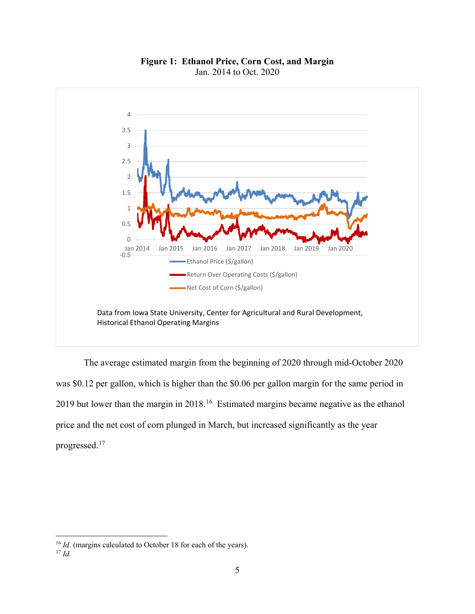

**Figure 1: Ethanol Price, Corn Cost, and Margin**  Jan. 2014 to Oct. 2020

The average estimated margin from the beginning of 2020 through mid-October 2020 was \$0.12 per gallon, which is higher than the \$0.06 per gallon margin for the same period in 2019 but lower than the margin in 2018.<sup>16</sup> Estimated margins became negative as the ethanol price and the net cost of corn plunged in March, but increased significantly as the year progressed.<sup>17</sup>

<sup>&</sup>lt;sup>16</sup> *Id*. (margins calculated to October 18 for each of the years).

<sup>17</sup> *Id.*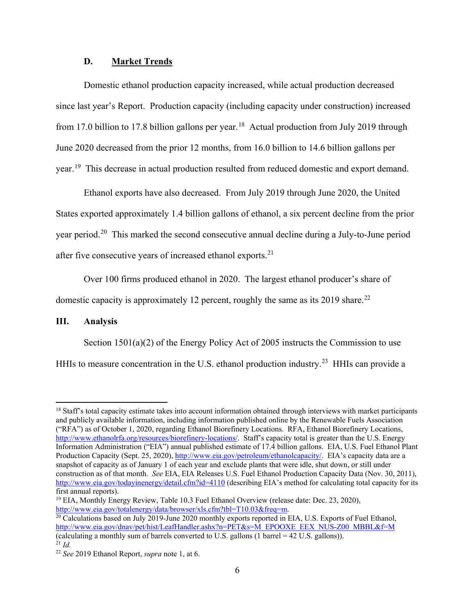# **D. Market Trends**

Domestic ethanol production capacity increased, while actual production decreased since last year's Report. Production capacity (including capacity under construction) increased from 17.0 billion to 17.8 billion gallons per year.<sup>18</sup> Actual production from July 2019 through June 2020 decreased from the prior 12 months, from 16.0 billion to 14.6 billion gallons per year.<sup>19</sup> This decrease in actual production resulted from reduced domestic and export demand.

Ethanol exports have also decreased. From July 2019 through June 2020, the United States exported approximately 1.4 billion gallons of ethanol, a six percent decline from the prior year period.<sup>20</sup> This marked the second consecutive annual decline during a July-to-June period after five consecutive years of increased ethanol exports.<sup>21</sup>

Over 100 firms produced ethanol in 2020. The largest ethanol producer's share of domestic capacity is approximately 12 percent, roughly the same as its 2019 share.<sup>22</sup>

## **III. Analysis**

 Section 1501(a)(2) of the Energy Policy Act of 2005 instructs the Commission to use HHIs to measure concentration in the U.S. ethanol production industry.<sup>23</sup> HHIs can provide a

 $<sup>18</sup>$  Staff's total capacity estimate takes into account information obtained through interviews with market participants</sup> and publicly available information, including information published online by the Renewable Fuels Association ("RFA") as of October 1, 2020, regarding Ethanol Biorefinery Locations. RFA, Ethanol Biorefinery Locations, http://www.ethanolrfa.org/resources/biorefinery-locations/. Staff's capacity total is greater than the U.S. Energy Information Administration ("EIA") annual published estimate of 17.4 billion gallons. EIA, U.S. Fuel Ethanol Plant Production Capacity (Sept. 25, 2020), http://www.eia.gov/petroleum/ethanolcapacity/. EIA's capacity data are a snapshot of capacity as of January 1 of each year and exclude plants that were idle, shut down, or still under construction as of that month. *See* EIA, EIA Releases U.S. Fuel Ethanol Production Capacity Data (Nov. 30, 2011), http://www.eia.gov/todayinenergy/detail.cfm?id=4110 (describing EIA's method for calculating total capacity for its first annual reports).

<sup>&</sup>lt;sup>19</sup> EIA, Monthly Energy Review, Table 10.3 Fuel Ethanol Overview (release date: Dec. 23, 2020), http://www.eia.gov/totalenergy/data/browser/xls.cfm?tbl=T10.03&freq=m.

<sup>&</sup>lt;sup>20</sup> Calculations based on July 2019-June 2020 monthly exports reported in EIA, U.S. Exports of Fuel Ethanol, http://www.eia.gov/dnav/pet/hist/LeafHandler.ashx?n=PET&s=M\_EPOOXE\_EEX\_NUS-Z00\_MBBL&f=M (calculating a monthly sum of barrels converted to U.S. gallons (1 barrel =  $42$  U.S. gallons)).<br><sup>21</sup> *Id.* 

<sup>21</sup> *Id.* 22 *See* <sup>2019</sup> Ethanol Report, *supra* note 1, at 6.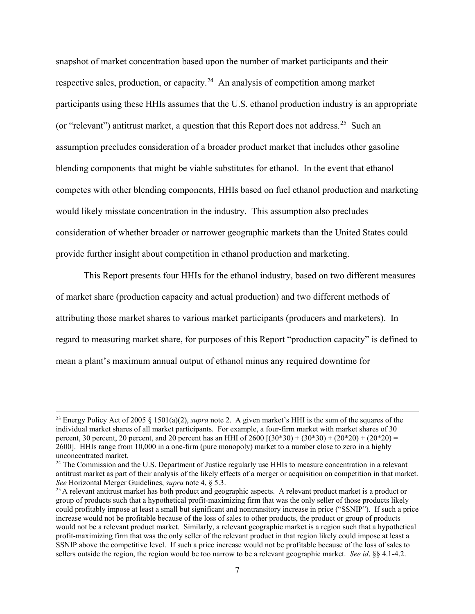snapshot of market concentration based upon the number of market participants and their respective sales, production, or capacity.<sup>24</sup> An analysis of competition among market participants using these HHIs assumes that the U.S. ethanol production industry is an appropriate (or "relevant") antitrust market, a question that this Report does not address.<sup>25</sup> Such an assumption precludes consideration of a broader product market that includes other gasoline blending components that might be viable substitutes for ethanol. In the event that ethanol competes with other blending components, HHIs based on fuel ethanol production and marketing would likely misstate concentration in the industry. This assumption also precludes consideration of whether broader or narrower geographic markets than the United States could provide further insight about competition in ethanol production and marketing.

 This Report presents four HHIs for the ethanol industry, based on two different measures of market share (production capacity and actual production) and two different methods of attributing those market shares to various market participants (producers and marketers). In regard to measuring market share, for purposes of this Report "production capacity" is defined to mean a plant's maximum annual output of ethanol minus any required downtime for

 <sup>23</sup> Energy Policy Act of 2005 § 1501(a)(2), *supra* note 2. A given market's HHI is the sum of the squares of the individual market shares of all market participants. For example, a four-firm market with market shares of 30 percent, 30 percent, 20 percent, and 20 percent has an HHI of  $2600 [(30*30) + (30*30) + (20*20) + (20*20) =$ 2600]. HHIs range from 10,000 in a one-firm (pure monopoly) market to a number close to zero in a highly unconcentrated market.

<sup>&</sup>lt;sup>24</sup> The Commission and the U.S. Department of Justice regularly use HHIs to measure concentration in a relevant antitrust market as part of their analysis of the likely effects of a merger or acquisition on competition in that market. *See* Horizontal Merger Guidelines, *supra* note 4, § 5.3.

<sup>&</sup>lt;sup>25</sup> A relevant antitrust market has both product and geographic aspects. A relevant product market is a product or group of products such that a hypothetical profit-maximizing firm that was the only seller of those products likely could profitably impose at least a small but significant and nontransitory increase in price ("SSNIP"). If such a price increase would not be profitable because of the loss of sales to other products, the product or group of products would not be a relevant product market. Similarly, a relevant geographic market is a region such that a hypothetical profit-maximizing firm that was the only seller of the relevant product in that region likely could impose at least a SSNIP above the competitive level. If such a price increase would not be profitable because of the loss of sales to sellers outside the region, the region would be too narrow to be a relevant geographic market. *See id*. §§ 4.1-4.2.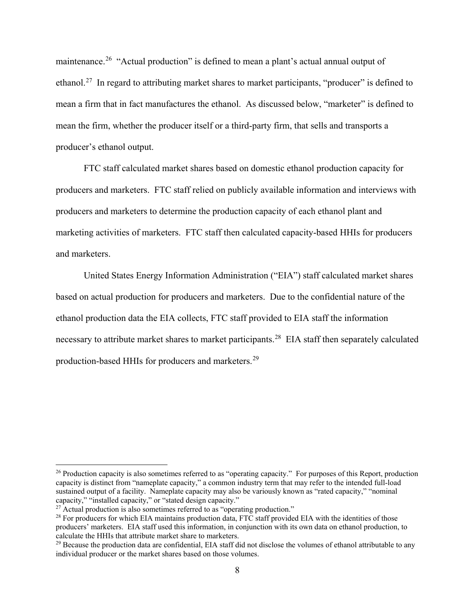maintenance.<sup>26</sup> "Actual production" is defined to mean a plant's actual annual output of ethanol.<sup>27</sup> In regard to attributing market shares to market participants, "producer" is defined to mean a firm that in fact manufactures the ethanol. As discussed below, "marketer" is defined to mean the firm, whether the producer itself or a third-party firm, that sells and transports a producer's ethanol output.

FTC staff calculated market shares based on domestic ethanol production capacity for producers and marketers. FTC staff relied on publicly available information and interviews with producers and marketers to determine the production capacity of each ethanol plant and marketing activities of marketers. FTC staff then calculated capacity-based HHIs for producers and marketers.

United States Energy Information Administration ("EIA") staff calculated market shares based on actual production for producers and marketers. Due to the confidential nature of the ethanol production data the EIA collects, FTC staff provided to EIA staff the information necessary to attribute market shares to market participants.<sup>28</sup> EIA staff then separately calculated production-based HHIs for producers and marketers.<sup>29</sup>

<sup>&</sup>lt;sup>26</sup> Production capacity is also sometimes referred to as "operating capacity." For purposes of this Report, production capacity is distinct from "nameplate capacity," a common industry term that may refer to the intended full-load sustained output of a facility. Nameplate capacity may also be variously known as "rated capacity," "nominal capacity," "installed capacity," or "stated design capacity."

 $^{27}$  Actual production is also sometimes referred to as "operating production."

<sup>&</sup>lt;sup>28</sup> For producers for which EIA maintains production data, FTC staff provided EIA with the identities of those producers' marketers. EIA staff used this information, in conjunction with its own data on ethanol production, to calculate the HHIs that attribute market share to marketers.

<sup>&</sup>lt;sup>29</sup> Because the production data are confidential, EIA staff did not disclose the volumes of ethanol attributable to any individual producer or the market shares based on those volumes.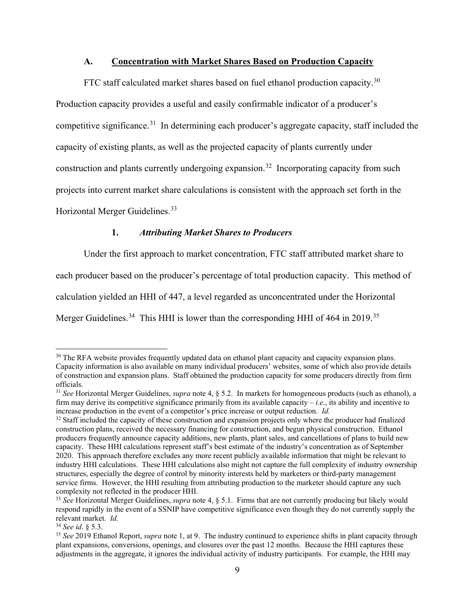# **A. Concentration with Market Shares Based on Production Capacity**

FTC staff calculated market shares based on fuel ethanol production capacity.<sup>30</sup> Production capacity provides a useful and easily confirmable indicator of a producer's competitive significance.<sup>31</sup> In determining each producer's aggregate capacity, staff included the capacity of existing plants, as well as the projected capacity of plants currently under construction and plants currently undergoing expansion.<sup>32</sup> Incorporating capacity from such projects into current market share calculations is consistent with the approach set forth in the Horizontal Merger Guidelines.<sup>33</sup>

# **1.** *Attributing Market Shares to Producers*

Under the first approach to market concentration, FTC staff attributed market share to

each producer based on the producer's percentage of total production capacity. This method of

calculation yielded an HHI of 447, a level regarded as unconcentrated under the Horizontal

Merger Guidelines.<sup>34</sup> This HHI is lower than the corresponding HHI of 464 in 2019.<sup>35</sup>

<sup>&</sup>lt;sup>30</sup> The RFA website provides frequently updated data on ethanol plant capacity and capacity expansion plans. Capacity information is also available on many individual producers' websites, some of which also provide details of construction and expansion plans. Staff obtained the production capacity for some producers directly from firm

<sup>&</sup>lt;sup>31</sup> *See* Horizontal Merger Guidelines, *supra* note 4, § 5.2. In markets for homogeneous products (such as ethanol), a firm may derive its competitive significance primarily from its available capacity – *i.e*., its ability and incentive to increase production in the event of a competitor's price increase or output reduction. *Id.*

<sup>&</sup>lt;sup>32</sup> Staff included the capacity of these construction and expansion projects only where the producer had finalized construction plans, received the necessary financing for construction, and begun physical construction. Ethanol producers frequently announce capacity additions, new plants, plant sales, and cancellations of plans to build new capacity. These HHI calculations represent staff's best estimate of the industry's concentration as of September 2020. This approach therefore excludes any more recent publicly available information that might be relevant to industry HHI calculations. These HHI calculations also might not capture the full complexity of industry ownership structures, especially the degree of control by minority interests held by marketers or third-party management service firms. However, the HHI resulting from attributing production to the marketer should capture any such complexity not reflected in the producer HHI.

<sup>33</sup> *See* Horizontal Merger Guidelines, *supra* note 4, § 5.1. Firms that are not currently producing but likely would respond rapidly in the event of a SSNIP have competitive significance even though they do not currently supply the relevant market. *Id.*<br><sup>34</sup> See id. § 5.3.

<sup>&</sup>lt;sup>35</sup> See 2019 Ethanol Report, *supra* note 1, at 9. The industry continued to experience shifts in plant capacity through plant expansions, conversions, openings, and closures over the past 12 months. Because the HHI captures these adjustments in the aggregate, it ignores the individual activity of industry participants. For example, the HHI may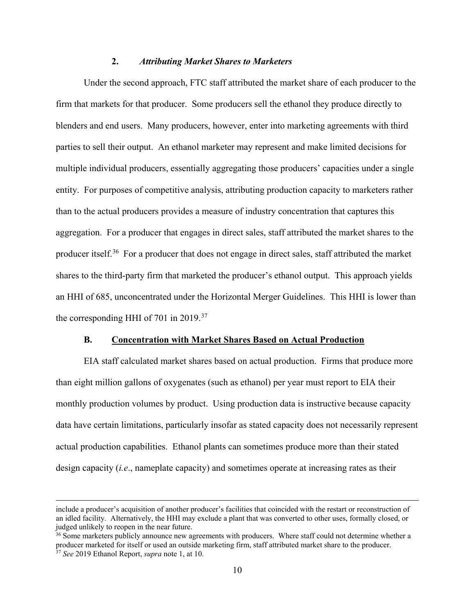# **2.** *Attributing Market Shares to Marketers*

 Under the second approach, FTC staff attributed the market share of each producer to the firm that markets for that producer. Some producers sell the ethanol they produce directly to blenders and end users. Many producers, however, enter into marketing agreements with third parties to sell their output. An ethanol marketer may represent and make limited decisions for multiple individual producers, essentially aggregating those producers' capacities under a single entity. For purposes of competitive analysis, attributing production capacity to marketers rather than to the actual producers provides a measure of industry concentration that captures this aggregation. For a producer that engages in direct sales, staff attributed the market shares to the producer itself.<sup>36</sup> For a producer that does not engage in direct sales, staff attributed the market shares to the third-party firm that marketed the producer's ethanol output. This approach yields an HHI of 685, unconcentrated under the Horizontal Merger Guidelines. This HHI is lower than the corresponding HHI of 701 in 2019.<sup>37</sup>

#### **B. Concentration with Market Shares Based on Actual Production**

EIA staff calculated market shares based on actual production. Firms that produce more than eight million gallons of oxygenates (such as ethanol) per year must report to EIA their monthly production volumes by product.Using production data is instructive because capacity data have certain limitations, particularly insofar as stated capacity does not necessarily represent actual production capabilities. Ethanol plants can sometimes produce more than their stated design capacity (*i.e*., nameplate capacity) and sometimes operate at increasing rates as their

include a producer's acquisition of another producer's facilities that coincided with the restart or reconstruction of an idled facility. Alternatively, the HHI may exclude a plant that was converted to other uses, formally closed, or judged unlikely to reopen in the near future.<br><sup>36</sup> Some marketers publicly announce new agreements with producers. Where staff could not determine whether a

producer marketed for itself or used an outside marketing firm, staff attributed market share to the producer. <sup>37</sup> *See* 2019 Ethanol Report, *supra* note 1, at 10.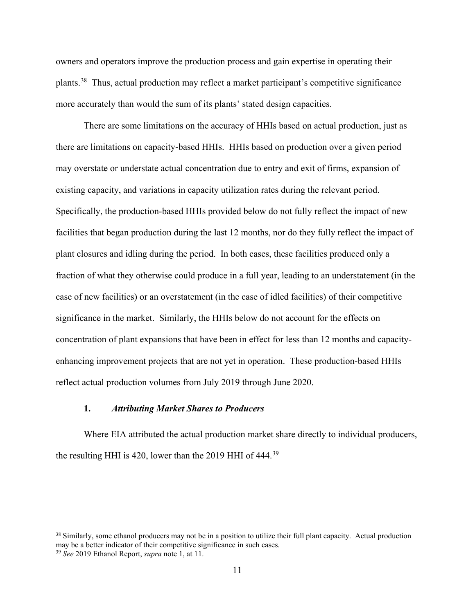owners and operators improve the production process and gain expertise in operating their plants.38 Thus, actual production may reflect a market participant's competitive significance more accurately than would the sum of its plants' stated design capacities.

There are some limitations on the accuracy of HHIs based on actual production, just as there are limitations on capacity-based HHIs. HHIs based on production over a given period may overstate or understate actual concentration due to entry and exit of firms, expansion of existing capacity, and variations in capacity utilization rates during the relevant period. Specifically, the production-based HHIs provided below do not fully reflect the impact of new facilities that began production during the last 12 months, nor do they fully reflect the impact of plant closures and idling during the period. In both cases, these facilities produced only a fraction of what they otherwise could produce in a full year, leading to an understatement (in the case of new facilities) or an overstatement (in the case of idled facilities) of their competitive significance in the market. Similarly, the HHIs below do not account for the effects on concentration of plant expansions that have been in effect for less than 12 months and capacityenhancing improvement projects that are not yet in operation. These production-based HHIs reflect actual production volumes from July 2019 through June 2020.

## **1.** *Attributing Market Shares to Producers*

 Where EIA attributed the actual production market share directly to individual producers, the resulting HHI is 420, lower than the 2019 HHI of 444.<sup>39</sup>

<sup>&</sup>lt;sup>38</sup> Similarly, some ethanol producers may not be in a position to utilize their full plant capacity. Actual production may be a better indicator of their competitive significance in such cases.

<sup>39</sup> *See* 2019 Ethanol Report, *supra* note 1, at 11.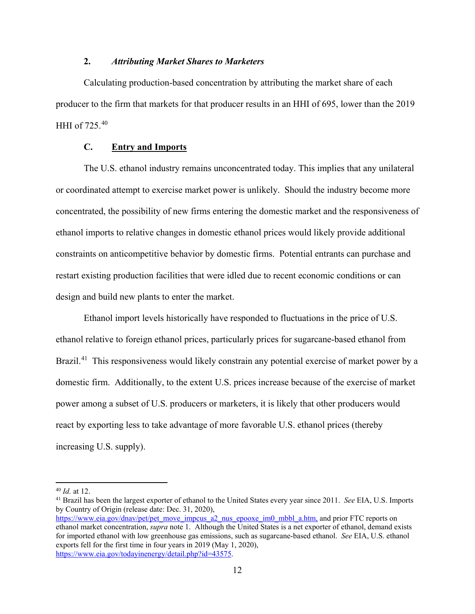# **2.** *Attributing Market Shares to Marketers*

Calculating production-based concentration by attributing the market share of each producer to the firm that markets for that producer results in an HHI of 695, lower than the 2019 HHI of 725.<sup>40</sup>

# **C. Entry and Imports**

The U.S. ethanol industry remains unconcentrated today. This implies that any unilateral or coordinated attempt to exercise market power is unlikely. Should the industry become more concentrated, the possibility of new firms entering the domestic market and the responsiveness of ethanol imports to relative changes in domestic ethanol prices would likely provide additional constraints on anticompetitive behavior by domestic firms. Potential entrants can purchase and restart existing production facilities that were idled due to recent economic conditions or can design and build new plants to enter the market.

 Ethanol import levels historically have responded to fluctuations in the price of U.S. ethanol relative to foreign ethanol prices, particularly prices for sugarcane-based ethanol from Brazil.<sup>41</sup> This responsiveness would likely constrain any potential exercise of market power by a domestic firm. Additionally, to the extent U.S. prices increase because of the exercise of market power among a subset of U.S. producers or marketers, it is likely that other producers would react by exporting less to take advantage of more favorable U.S. ethanol prices (thereby increasing U.S. supply).

<sup>40</sup> *Id.* at 12.

<sup>41</sup> Brazil has been the largest exporter of ethanol to the United States every year since 2011. *See* EIA, U.S. Imports by Country of Origin (release date: Dec. 31, 2020), https://www.eia.gov/dnav/pet/pet\_move\_impcus\_a2\_nus\_epooxe\_im0\_mbbl\_a.htm, and prior FTC reports on

ethanol market concentration, *supra* note 1. Although the United States is a net exporter of ethanol, demand exists for imported ethanol with low greenhouse gas emissions, such as sugarcane-based ethanol. *See* EIA, U.S. ethanol exports fell for the first time in four years in 2019 (May 1, 2020), https://www.eia.gov/todayinenergy/detail.php?id=43575.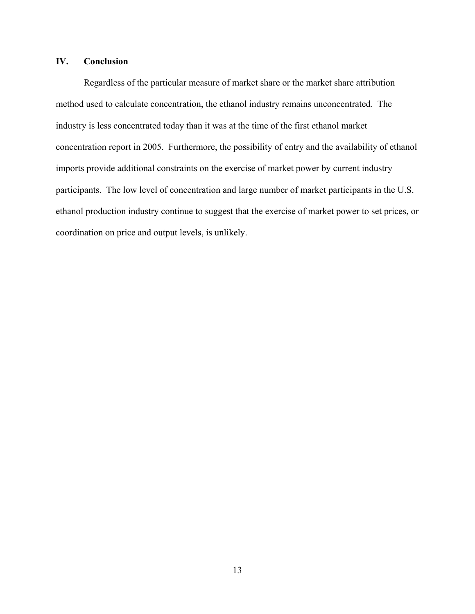# **IV. Conclusion**

Regardless of the particular measure of market share or the market share attribution method used to calculate concentration, the ethanol industry remains unconcentrated. The industry is less concentrated today than it was at the time of the first ethanol market concentration report in 2005. Furthermore, the possibility of entry and the availability of ethanol imports provide additional constraints on the exercise of market power by current industry participants. The low level of concentration and large number of market participants in the U.S. ethanol production industry continue to suggest that the exercise of market power to set prices, or coordination on price and output levels, is unlikely.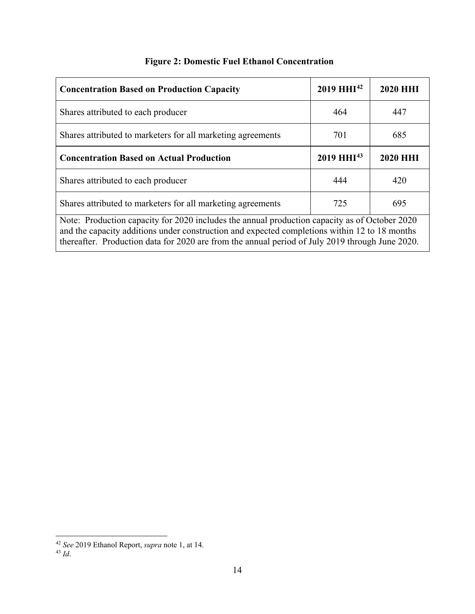| <b>Concentration Based on Production Capacity</b>                                                                                                                                                                                                                                                 | $2019 \text{ H} \text{H} \text{I}^{42}$ | <b>2020 HHI</b> |
|---------------------------------------------------------------------------------------------------------------------------------------------------------------------------------------------------------------------------------------------------------------------------------------------------|-----------------------------------------|-----------------|
| Shares attributed to each producer                                                                                                                                                                                                                                                                | 464                                     | 447             |
| Shares attributed to marketers for all marketing agreements                                                                                                                                                                                                                                       | 701                                     | 685             |
| <b>Concentration Based on Actual Production</b>                                                                                                                                                                                                                                                   | 2019 HHI <sup>43</sup>                  | <b>2020 HHI</b> |
| Shares attributed to each producer                                                                                                                                                                                                                                                                | 444                                     | 420             |
| Shares attributed to marketers for all marketing agreements                                                                                                                                                                                                                                       | 725                                     | 695             |
| Note: Production capacity for 2020 includes the annual production capacity as of October 2020<br>and the capacity additions under construction and expected completions within 12 to 18 months<br>thereafter. Production data for 2020 are from the annual period of July 2019 through June 2020. |                                         |                 |

# **Figure 2: Domestic Fuel Ethanol Concentration**

<sup>42</sup> *See* <sup>2019</sup> Ethanol Report, *supra* note 1, at 14. 43 *Id*.